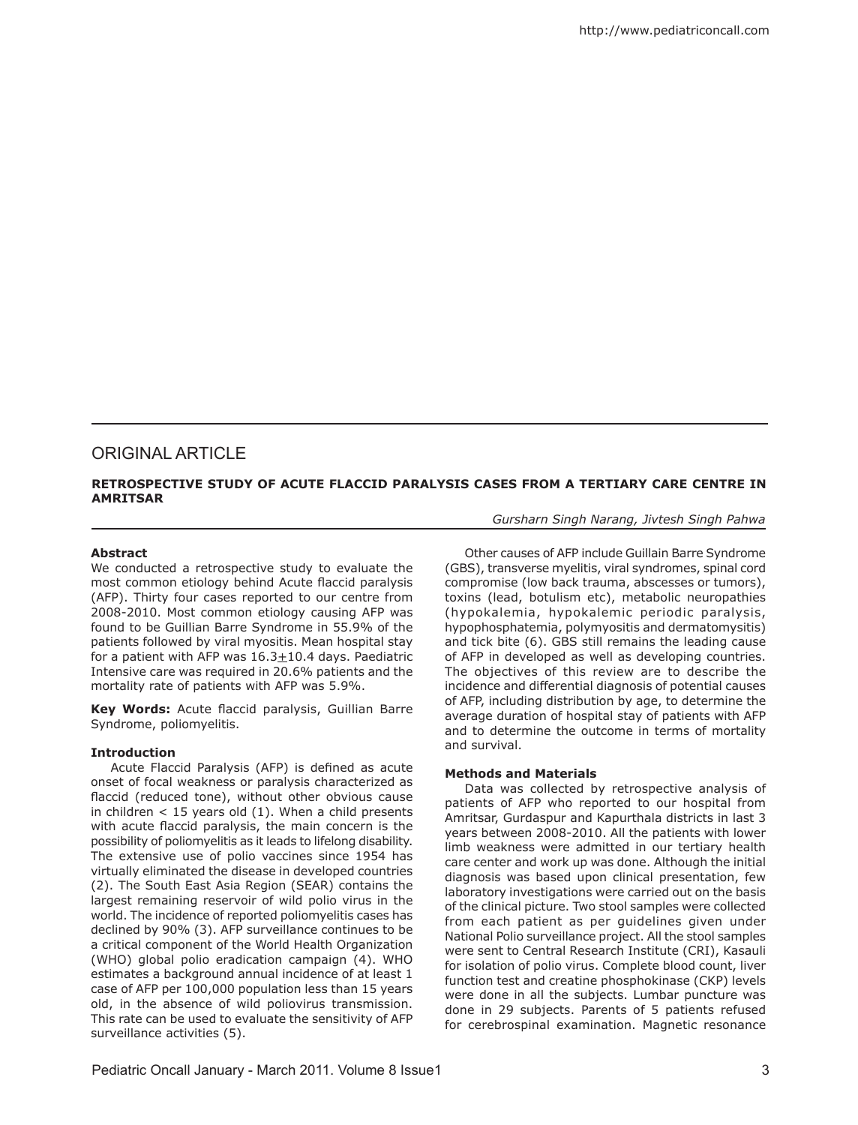# ORIGINAL ARTICLE

## **RETROSPECTIVE STUDY OF ACUTE FLACCID PARALYSIS CASES FROM A TERTIARY CARE CENTRE IN AMRITSAR**

*Gursharn Singh Narang, Jivtesh Singh Pahwa* 

# **Abstract**

We conducted a retrospective study to evaluate the most common etiology behind Acute flaccid paralysis (AFP). Thirty four cases reported to our centre from 2008-2010. Most common etiology causing AFP was found to be Guillian Barre Syndrome in 55.9% of the patients followed by viral myositis. Mean hospital stay for a patient with AFP was 16.3+10.4 days. Paediatric Intensive care was required in 20.6% patients and the mortality rate of patients with AFP was 5.9%.

**Key Words:** Acute flaccid paralysis, Guillian Barre Syndrome, poliomyelitis.

#### **Introduction**

Acute Flaccid Paralysis (AFP) is defined as acute onset of focal weakness or paralysis characterized as flaccid (reduced tone), without other obvious cause in children  $<$  15 years old (1). When a child presents with acute flaccid paralysis, the main concern is the possibility of poliomyelitis as it leads to lifelong disability. The extensive use of polio vaccines since 1954 has virtually eliminated the disease in developed countries (2). The South East Asia Region (SEAR) contains the largest remaining reservoir of wild polio virus in the world. The incidence of reported poliomyelitis cases has declined by 90% (3). AFP surveillance continues to be a critical component of the World Health Organization (WHO) global polio eradication campaign (4). WHO estimates a background annual incidence of at least 1 case of AFP per 100,000 population less than 15 years old, in the absence of wild poliovirus transmission. This rate can be used to evaluate the sensitivity of AFP surveillance activities (5).

Other causes of AFP include Guillain Barre Syndrome (GBS), transverse myelitis, viral syndromes, spinal cord compromise (low back trauma, abscesses or tumors), toxins (lead, botulism etc), metabolic neuropathies (hypokalemia, hypokalemic periodic paralysis, hypophosphatemia, polymyositis and dermatomysitis) and tick bite (6). GBS still remains the leading cause of AFP in developed as well as developing countries. The objectives of this review are to describe the incidence and differential diagnosis of potential causes of AFP, including distribution by age, to determine the average duration of hospital stay of patients with AFP and to determine the outcome in terms of mortality and survival.

#### **Methods and Materials**

Data was collected by retrospective analysis of patients of AFP who reported to our hospital from Amritsar, Gurdaspur and Kapurthala districts in last 3 years between 2008-2010. All the patients with lower limb weakness were admitted in our tertiary health care center and work up was done. Although the initial diagnosis was based upon clinical presentation, few laboratory investigations were carried out on the basis of the clinical picture. Two stool samples were collected from each patient as per guidelines given under National Polio surveillance project. All the stool samples were sent to Central Research Institute (CRI), Kasauli for isolation of polio virus. Complete blood count, liver function test and creatine phosphokinase (CKP) levels were done in all the subjects. Lumbar puncture was done in 29 subjects. Parents of 5 patients refused for cerebrospinal examination. Magnetic resonance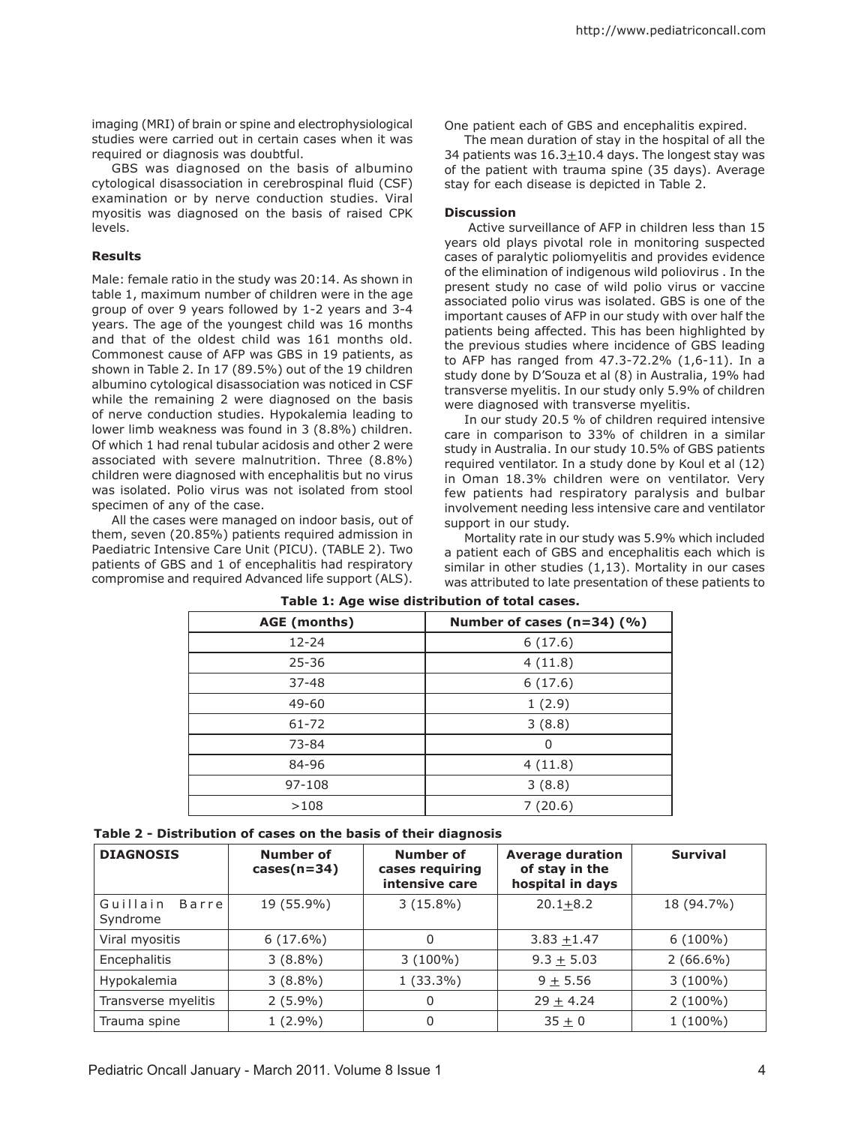imaging (MRI) of brain or spine and electrophysiological studies were carried out in certain cases when it was required or diagnosis was doubtful.

GBS was diagnosed on the basis of albumino cytological disassociation in cerebrospinal fluid (CSF) examination or by nerve conduction studies. Viral myositis was diagnosed on the basis of raised CPK levels.

### **Results**

Male: female ratio in the study was 20:14. As shown in table 1, maximum number of children were in the age group of over 9 years followed by 1-2 years and 3-4 years. The age of the youngest child was 16 months and that of the oldest child was 161 months old. Commonest cause of AFP was GBS in 19 patients, as shown in Table 2. In 17 (89.5%) out of the 19 children albumino cytological disassociation was noticed in CSF while the remaining 2 were diagnosed on the basis of nerve conduction studies. Hypokalemia leading to lower limb weakness was found in 3 (8.8%) children. Of which 1 had renal tubular acidosis and other 2 were associated with severe malnutrition. Three (8.8%) children were diagnosed with encephalitis but no virus was isolated. Polio virus was not isolated from stool specimen of any of the case.

All the cases were managed on indoor basis, out of them, seven (20.85%) patients required admission in Paediatric Intensive Care Unit (PICU). (TABLE 2). Two patients of GBS and 1 of encephalitis had respiratory compromise and required Advanced life support (ALS).

One patient each of GBS and encephalitis expired.

The mean duration of stay in the hospital of all the 34 patients was  $16.3 \pm 10.4$  days. The longest stay was of the patient with trauma spine (35 days). Average stay for each disease is depicted in Table 2.

#### **Discussion**

Active surveillance of AFP in children less than 15 years old plays pivotal role in monitoring suspected cases of paralytic poliomyelitis and provides evidence of the elimination of indigenous wild poliovirus . In the present study no case of wild polio virus or vaccine associated polio virus was isolated. GBS is one of the important causes of AFP in our study with over half the patients being affected. This has been highlighted by the previous studies where incidence of GBS leading to AFP has ranged from 47.3-72.2% (1,6-11). In a study done by D'Souza et al (8) in Australia, 19% had transverse myelitis. In our study only 5.9% of children were diagnosed with transverse myelitis.

In our study 20.5 % of children required intensive care in comparison to 33% of children in a similar study in Australia. In our study 10.5% of GBS patients required ventilator. In a study done by Koul et al (12) in Oman 18.3% children were on ventilator. Very few patients had respiratory paralysis and bulbar involvement needing less intensive care and ventilator support in our study.

Mortality rate in our study was 5.9% which included a patient each of GBS and encephalitis each which is similar in other studies (1,13). Mortality in our cases was attributed to late presentation of these patients to

| AGE (months) | Number of cases $(n=34)$ (%) |  |  |
|--------------|------------------------------|--|--|
| $12 - 24$    | 6(17.6)                      |  |  |
| $25 - 36$    | 4(11.8)                      |  |  |
| $37 - 48$    | 6(17.6)                      |  |  |
| 49-60        | 1(2.9)                       |  |  |
| $61 - 72$    | 3(8.8)                       |  |  |
| 73-84        | 0                            |  |  |
| 84-96        | 4(11.8)                      |  |  |
| 97-108       | 3(8.8)                       |  |  |
| >108         | 7(20.6)                      |  |  |

**Table 1: Age wise distribution of total cases.**

| Table 2 - Distribution of cases on the basis of their diagnosis |  |  |  |
|-----------------------------------------------------------------|--|--|--|
|-----------------------------------------------------------------|--|--|--|

| <b>DIAGNOSIS</b>              | Number of<br>$cases(n=34)$ | Number of<br>cases requiring<br>intensive care | <b>Average duration</b><br>of stay in the<br>hospital in days | <b>Survival</b> |
|-------------------------------|----------------------------|------------------------------------------------|---------------------------------------------------------------|-----------------|
| Guillain<br>Barre<br>Syndrome | 19 (55.9%)                 | $3(15.8\%)$                                    | $20.1 + 8.2$                                                  | 18 (94.7%)      |
| Viral myositis                | $6(17.6\%)$                |                                                | $3.83 + 1.47$                                                 | $6(100\%)$      |
| Encephalitis                  | $3(8.8\%)$                 | $3(100\%)$                                     | $9.3 + 5.03$                                                  | $2(66.6\%)$     |
| Hypokalemia                   | $3(8.8\%)$                 | $1(33.3\%)$                                    | $9 + 5.56$                                                    | $3(100\%)$      |
| Transverse myelitis           | $2(5.9\%)$                 |                                                | $29 + 4.24$                                                   | $2(100\%)$      |
| Trauma spine                  | $1(2.9\%)$                 | 0                                              | $35 + 0$                                                      | $1(100\%)$      |